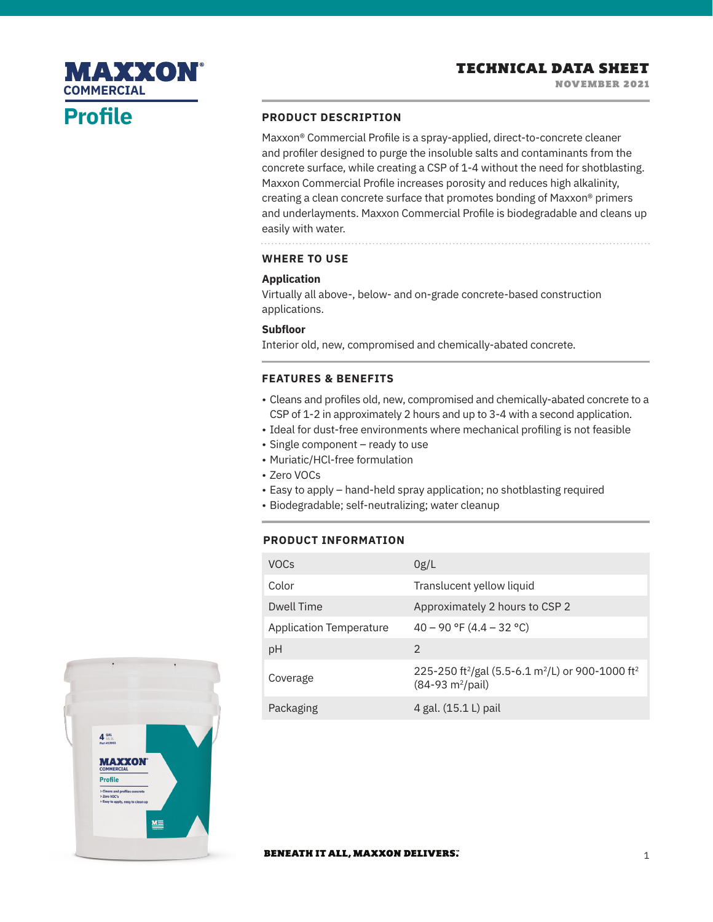## **MAXXON COMMERCIAL**

# **Profile**

#### **PRODUCT DESCRIPTION**

Maxxon® Commercial Profile is a spray-applied, direct-to-concrete cleaner and profiler designed to purge the insoluble salts and contaminants from the concrete surface, while creating a CSP of 1-4 without the need for shotblasting. Maxxon Commercial Profile increases porosity and reduces high alkalinity, creating a clean concrete surface that promotes bonding of Maxxon® primers and underlayments. Maxxon Commercial Profile is biodegradable and cleans up easily with water.

## **WHERE TO USE**

### **Application**

Virtually all above-, below- and on-grade concrete-based construction applications.

### **Subfloor**

Interior old, new, compromised and chemically-abated concrete.

## **FEATURES & BENEFITS**

- Cleans and profiles old, new, compromised and chemically-abated concrete to a CSP of 1-2 in approximately 2 hours and up to 3-4 with a second application.
- Ideal for dust-free environments where mechanical profiling is not feasible
- Single component ready to use
- Muriatic/HCl-free formulation
- Zero VOCs
- Easy to apply hand-held spray application; no shotblasting required
- Biodegradable; self-neutralizing; water cleanup

### **PRODUCT INFORMATION**

| <b>VOCs</b>                    | 0g/L                                                                                                                      |
|--------------------------------|---------------------------------------------------------------------------------------------------------------------------|
| Color                          | Translucent yellow liquid                                                                                                 |
| Dwell Time                     | Approximately 2 hours to CSP 2                                                                                            |
| <b>Application Temperature</b> | $40 - 90$ °F (4.4 – 32 °C)                                                                                                |
| pH                             | $\mathcal{P}$                                                                                                             |
| Coverage                       | 225-250 ft <sup>2</sup> /gal (5.5-6.1 m <sup>2</sup> /L) or 900-1000 ft <sup>2</sup><br>$(84-93 \text{ m}^2/\text{pail})$ |
| Packaging                      | 4 gal. (15.1 L) pail                                                                                                      |



#### **BENEATH IT ALL, MAXXON DELIVERS.**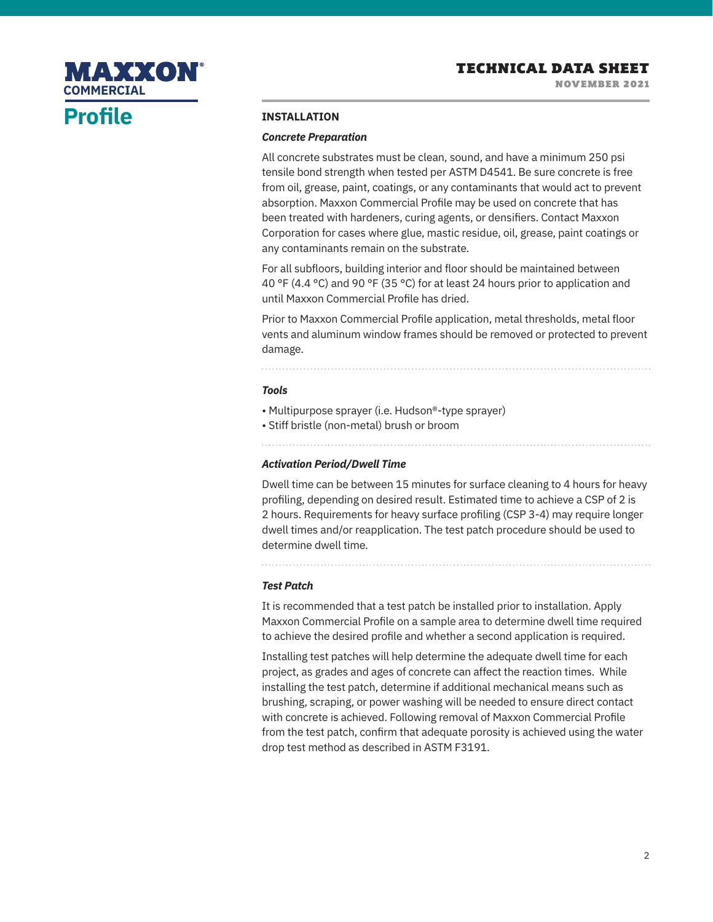NOVEMBER 2021



# **Profile**

#### **INSTALLATION**

#### *Concrete Preparation*

All concrete substrates must be clean, sound, and have a minimum 250 psi tensile bond strength when tested per ASTM D4541. Be sure concrete is free from oil, grease, paint, coatings, or any contaminants that would act to prevent absorption. Maxxon Commercial Profile may be used on concrete that has been treated with hardeners, curing agents, or densifiers. Contact Maxxon Corporation for cases where glue, mastic residue, oil, grease, paint coatings or any contaminants remain on the substrate.

For all subfloors, building interior and floor should be maintained between 40 °F (4.4 °C) and 90 °F (35 °C) for at least 24 hours prior to application and until Maxxon Commercial Profile has dried.

Prior to Maxxon Commercial Profile application, metal thresholds, metal floor vents and aluminum window frames should be removed or protected to prevent damage.

#### *Tools*

 $\ddot{\phantom{0}}$ 

- Multipurpose sprayer (i.e. Hudson®-type sprayer)
- Stiff bristle (non-metal) brush or broom

#### *Activation Period/Dwell Time*

Dwell time can be between 15 minutes for surface cleaning to 4 hours for heavy profiling, depending on desired result. Estimated time to achieve a CSP of 2 is 2 hours. Requirements for heavy surface profiling (CSP 3-4) may require longer dwell times and/or reapplication. The test patch procedure should be used to determine dwell time.

*Test Patch*

It is recommended that a test patch be installed prior to installation. Apply Maxxon Commercial Profile on a sample area to determine dwell time required to achieve the desired profile and whether a second application is required.

Installing test patches will help determine the adequate dwell time for each project, as grades and ages of concrete can affect the reaction times. While installing the test patch, determine if additional mechanical means such as brushing, scraping, or power washing will be needed to ensure direct contact with concrete is achieved. Following removal of Maxxon Commercial Profile from the test patch, confirm that adequate porosity is achieved using the water drop test method as described in ASTM F3191.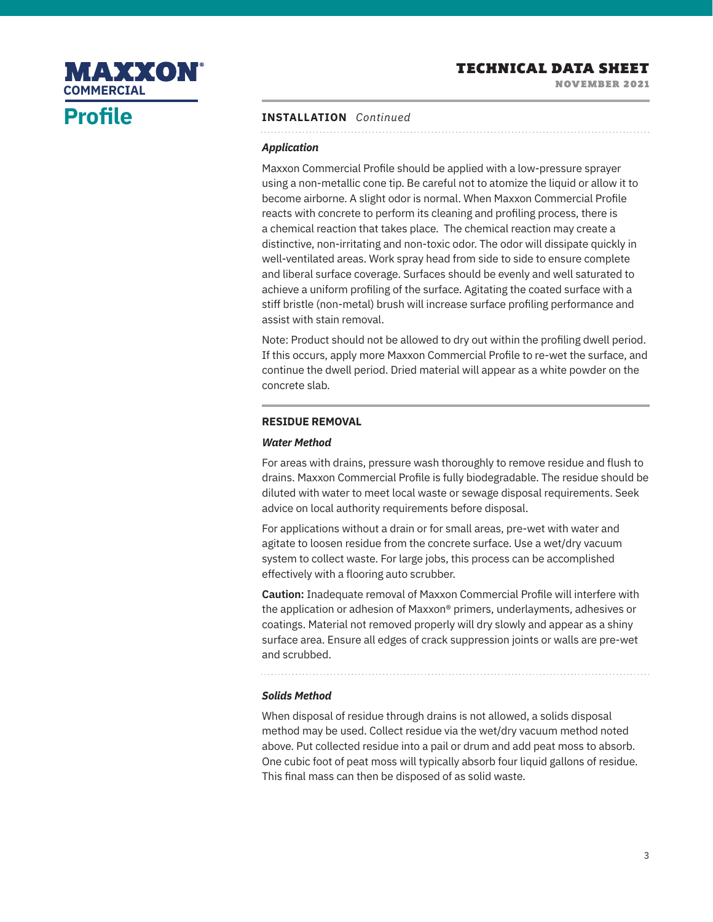NOVEMBER 2021

# MAXXON **COMMERCIAL**

# **Profile**

## **INSTALLATION** *Continued*

## *Application*

Maxxon Commercial Profile should be applied with a low-pressure sprayer using a non-metallic cone tip. Be careful not to atomize the liquid or allow it to become airborne. A slight odor is normal. When Maxxon Commercial Profile reacts with concrete to perform its cleaning and profiling process, there is a chemical reaction that takes place. The chemical reaction may create a distinctive, non-irritating and non-toxic odor. The odor will dissipate quickly in well-ventilated areas. Work spray head from side to side to ensure complete and liberal surface coverage. Surfaces should be evenly and well saturated to achieve a uniform profiling of the surface. Agitating the coated surface with a stiff bristle (non-metal) brush will increase surface profiling performance and assist with stain removal.

Note: Product should not be allowed to dry out within the profiling dwell period. If this occurs, apply more Maxxon Commercial Profile to re-wet the surface, and continue the dwell period. Dried material will appear as a white powder on the concrete slab.

### **RESIDUE REMOVAL**

#### *Water Method*

For areas with drains, pressure wash thoroughly to remove residue and flush to drains. Maxxon Commercial Profile is fully biodegradable. The residue should be diluted with water to meet local waste or sewage disposal requirements. Seek advice on local authority requirements before disposal.

For applications without a drain or for small areas, pre-wet with water and agitate to loosen residue from the concrete surface. Use a wet/dry vacuum system to collect waste. For large jobs, this process can be accomplished effectively with a flooring auto scrubber.

**Caution:** Inadequate removal of Maxxon Commercial Profile will interfere with the application or adhesion of Maxxon® primers, underlayments, adhesives or coatings. Material not removed properly will dry slowly and appear as a shiny surface area. Ensure all edges of crack suppression joints or walls are pre-wet and scrubbed.

### *Solids Method*

When disposal of residue through drains is not allowed, a solids disposal method may be used. Collect residue via the wet/dry vacuum method noted above. Put collected residue into a pail or drum and add peat moss to absorb. One cubic foot of peat moss will typically absorb four liquid gallons of residue. This final mass can then be disposed of as solid waste.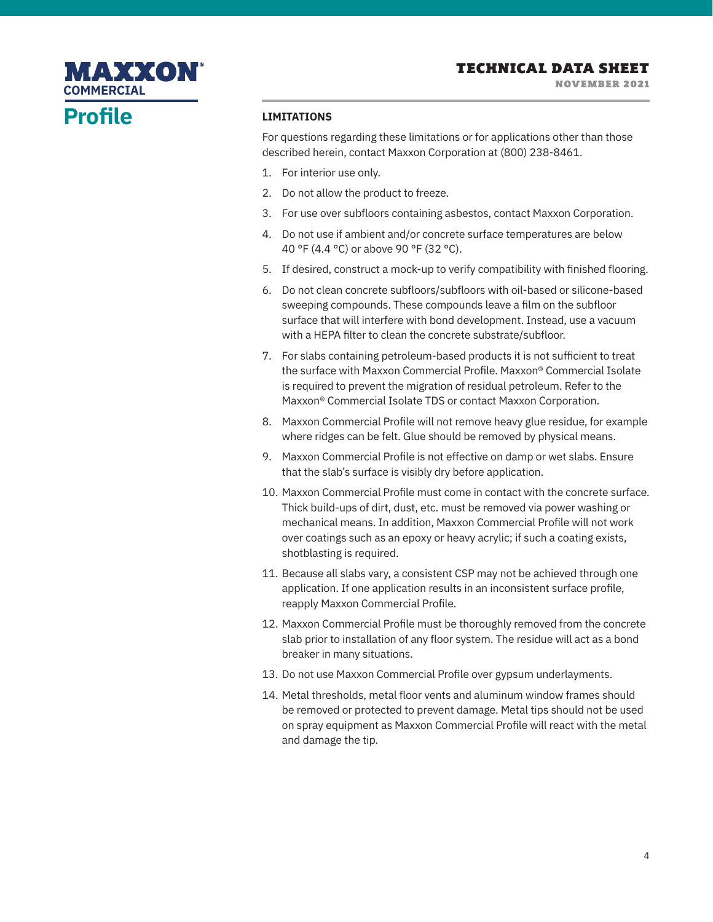## **Profile COMMERCIAL**

MAXXON

#### **LIMITATIONS**

For questions regarding these limitations or for applications other than those described herein, contact Maxxon Corporation at (800) 238-8461.

- 1. For interior use only.
- 2. Do not allow the product to freeze.
- 3. For use over subfloors containing asbestos, contact Maxxon Corporation.
- 4. Do not use if ambient and/or concrete surface temperatures are below 40 °F (4.4 °C) or above 90 °F (32 °C).
- 5. If desired, construct a mock-up to verify compatibility with finished flooring.
- 6. Do not clean concrete subfloors/subfloors with oil-based or silicone-based sweeping compounds. These compounds leave a film on the subfloor surface that will interfere with bond development. Instead, use a vacuum with a HEPA filter to clean the concrete substrate/subfloor.
- 7. For slabs containing petroleum-based products it is not sufficient to treat the surface with Maxxon Commercial Profile. Maxxon® Commercial Isolate is required to prevent the migration of residual petroleum. Refer to the Maxxon® Commercial Isolate TDS or contact Maxxon Corporation.
- 8. Maxxon Commercial Profile will not remove heavy glue residue, for example where ridges can be felt. Glue should be removed by physical means.
- 9. Maxxon Commercial Profile is not effective on damp or wet slabs. Ensure that the slab's surface is visibly dry before application.
- 10. Maxxon Commercial Profile must come in contact with the concrete surface. Thick build-ups of dirt, dust, etc. must be removed via power washing or mechanical means. In addition, Maxxon Commercial Profile will not work over coatings such as an epoxy or heavy acrylic; if such a coating exists, shotblasting is required.
- 11. Because all slabs vary, a consistent CSP may not be achieved through one application. If one application results in an inconsistent surface profile, reapply Maxxon Commercial Profile.
- 12. Maxxon Commercial Profile must be thoroughly removed from the concrete slab prior to installation of any floor system. The residue will act as a bond breaker in many situations.
- 13. Do not use Maxxon Commercial Profile over gypsum underlayments.
- 14. Metal thresholds, metal floor vents and aluminum window frames should be removed or protected to prevent damage. Metal tips should not be used on spray equipment as Maxxon Commercial Profile will react with the metal and damage the tip.